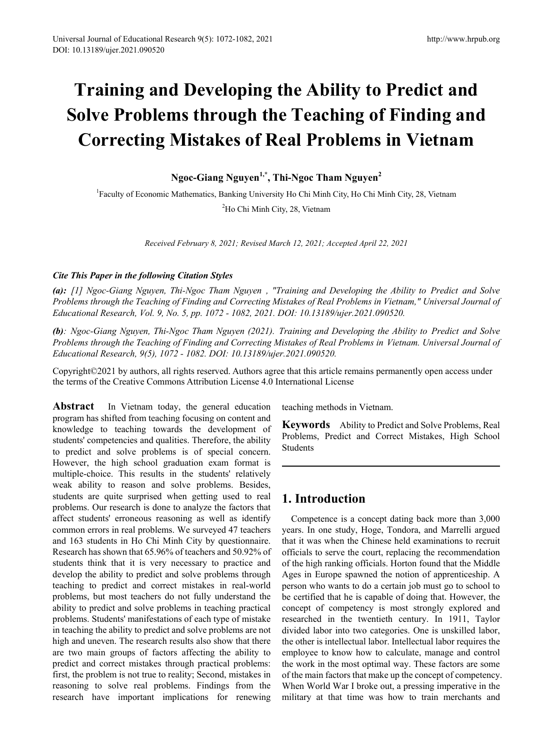# **Training and Developing the Ability to Predict and Solve Problems through the Teaching of Finding and Correcting Mistakes of Real Problems in Vietnam**

**Ngoc-Giang Nguyen1,\* , Thi-Ngoc Tham Nguyen<sup>2</sup>**

<sup>1</sup> Faculty of Economic Mathematics, Banking University Ho Chi Minh City, Ho Chi Minh City, 28, Vietnam <sup>2</sup>Ho Chi Minh City, 28, Vietnam

*Received February 8, 2021; Revised March 12, 2021; Accepted April 22, 2021*

#### *Cite This Paper in the following Citation Styles*

*(a): [1] Ngoc-Giang Nguyen, Thi-Ngoc Tham Nguyen , "Training and Developing the Ability to Predict and Solve Problems through the Teaching of Finding and Correcting Mistakes of Real Problems in Vietnam," Universal Journal of Educational Research, Vol. 9, No. 5, pp. 1072 - 1082, 2021. DOI: 10.13189/ujer.2021.090520.* 

*(b): Ngoc-Giang Nguyen, Thi-Ngoc Tham Nguyen (2021). Training and Developing the Ability to Predict and Solve Problems through the Teaching of Finding and Correcting Mistakes of Real Problems in Vietnam. Universal Journal of Educational Research, 9(5), 1072 - 1082. DOI: 10.13189/ujer.2021.090520.* 

Copyright©2021 by authors, all rights reserved. Authors agree that this article remains permanently open access under the terms of the Creative Commons Attribution License 4.0 International License

**Abstract** In Vietnam today, the general education program has shifted from teaching focusing on content and knowledge to teaching towards the development of students' competencies and qualities. Therefore, the ability to predict and solve problems is of special concern. However, the high school graduation exam format is multiple-choice. This results in the students' relatively weak ability to reason and solve problems. Besides, students are quite surprised when getting used to real problems. Our research is done to analyze the factors that affect students' erroneous reasoning as well as identify common errors in real problems. We surveyed 47 teachers and 163 students in Ho Chi Minh City by questionnaire. Research has shown that 65.96% of teachers and 50.92% of students think that it is very necessary to practice and develop the ability to predict and solve problems through teaching to predict and correct mistakes in real-world problems, but most teachers do not fully understand the ability to predict and solve problems in teaching practical problems. Students' manifestations of each type of mistake in teaching the ability to predict and solve problems are not high and uneven. The research results also show that there are two main groups of factors affecting the ability to predict and correct mistakes through practical problems: first, the problem is not true to reality; Second, mistakes in reasoning to solve real problems. Findings from the research have important implications for renewing

teaching methods in Vietnam.

**Keywords** Ability to Predict and Solve Problems, Real Problems, Predict and Correct Mistakes, High School Students

# **1. Introduction**

Competence is a concept dating back more than 3,000 years. In one study, Hoge, Tondora, and Marrelli argued that it was when the Chinese held examinations to recruit officials to serve the court, replacing the recommendation of the high ranking officials. Horton found that the Middle Ages in Europe spawned the notion of apprenticeship. A person who wants to do a certain job must go to school to be certified that he is capable of doing that. However, the concept of competency is most strongly explored and researched in the twentieth century. In 1911, Taylor divided labor into two categories. One is unskilled labor, the other is intellectual labor. Intellectual labor requires the employee to know how to calculate, manage and control the work in the most optimal way. These factors are some of the main factors that make up the concept of competency. When World War I broke out, a pressing imperative in the military at that time was how to train merchants and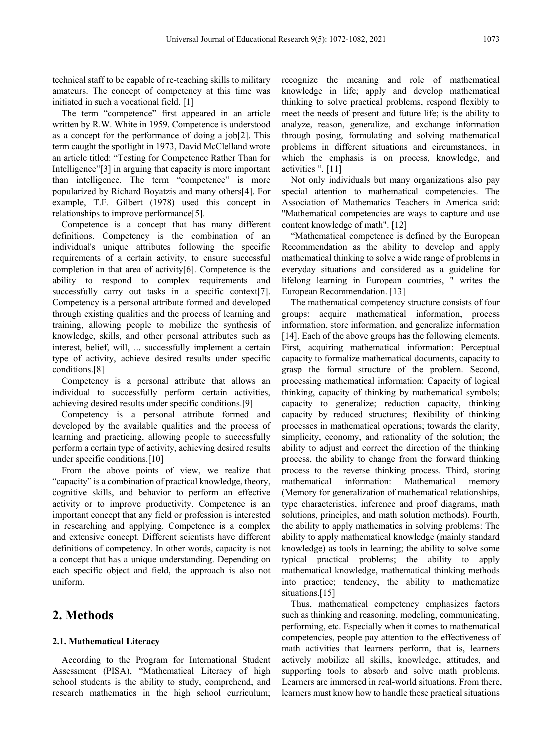technical staff to be capable of re-teaching skills to military amateurs. The concept of competency at this time was initiated in such a vocational field. [1]

The term "competence" first appeared in an article written by R.W. White in 1959. Competence is understood as a concept for the performance of doing a job[2]. This term caught the spotlight in 1973, David McClelland wrote an article titled: "Testing for Competence Rather Than for Intelligence"[3] in arguing that capacity is more important than intelligence. The term "competence" is more popularized by Richard Boyatzis and many others[4]. For example, T.F. Gilbert (1978) used this concept in relationships to improve performance[5].

Competence is a concept that has many different definitions. Competency is the combination of an individual's unique attributes following the specific requirements of a certain activity, to ensure successful completion in that area of activity[6]. Competence is the ability to respond to complex requirements and successfully carry out tasks in a specific context [7]. Competency is a personal attribute formed and developed through existing qualities and the process of learning and training, allowing people to mobilize the synthesis of knowledge, skills, and other personal attributes such as interest, belief, will, ... successfully implement a certain type of activity, achieve desired results under specific conditions.[8]

Competency is a personal attribute that allows an individual to successfully perform certain activities, achieving desired results under specific conditions.[9]

Competency is a personal attribute formed and developed by the available qualities and the process of learning and practicing, allowing people to successfully perform a certain type of activity, achieving desired results under specific conditions.[10]

From the above points of view, we realize that "capacity" is a combination of practical knowledge, theory, cognitive skills, and behavior to perform an effective activity or to improve productivity. Competence is an important concept that any field or profession is interested in researching and applying. Competence is a complex and extensive concept. Different scientists have different definitions of competency. In other words, capacity is not a concept that has a unique understanding. Depending on each specific object and field, the approach is also not uniform.

# **2. Methods**

#### **2.1. Mathematical Literacy**

According to the Program for International Student Assessment (PISA), "Mathematical Literacy of high school students is the ability to study, comprehend, and research mathematics in the high school curriculum;

recognize the meaning and role of mathematical knowledge in life; apply and develop mathematical thinking to solve practical problems, respond flexibly to meet the needs of present and future life; is the ability to analyze, reason, generalize, and exchange information through posing, formulating and solving mathematical problems in different situations and circumstances, in which the emphasis is on process, knowledge, and activities ". [11]

Not only individuals but many organizations also pay special attention to mathematical competencies. The Association of Mathematics Teachers in America said: "Mathematical competencies are ways to capture and use content knowledge of math". [12]

"Mathematical competence is defined by the European Recommendation as the ability to develop and apply mathematical thinking to solve a wide range of problems in everyday situations and considered as a guideline for lifelong learning in European countries, " writes the European Recommendation. [13]

The mathematical competency structure consists of four groups: acquire mathematical information, process information, store information, and generalize information [14]. Each of the above groups has the following elements. First, acquiring mathematical information: Perceptual capacity to formalize mathematical documents, capacity to grasp the formal structure of the problem. Second, processing mathematical information: Capacity of logical thinking, capacity of thinking by mathematical symbols; capacity to generalize; reduction capacity, thinking capacity by reduced structures; flexibility of thinking processes in mathematical operations; towards the clarity, simplicity, economy, and rationality of the solution; the ability to adjust and correct the direction of the thinking process, the ability to change from the forward thinking process to the reverse thinking process. Third, storing mathematical information: Mathematical memory (Memory for generalization of mathematical relationships, type characteristics, inference and proof diagrams, math solutions, principles, and math solution methods). Fourth, the ability to apply mathematics in solving problems: The ability to apply mathematical knowledge (mainly standard knowledge) as tools in learning; the ability to solve some typical practical problems; the ability to apply mathematical knowledge, mathematical thinking methods into practice; tendency, the ability to mathematize situations.<sup>[15]</sup>

Thus, mathematical competency emphasizes factors such as thinking and reasoning, modeling, communicating, performing, etc. Especially when it comes to mathematical competencies, people pay attention to the effectiveness of math activities that learners perform, that is, learners actively mobilize all skills, knowledge, attitudes, and supporting tools to absorb and solve math problems. Learners are immersed in real-world situations. From there, learners must know how to handle these practical situations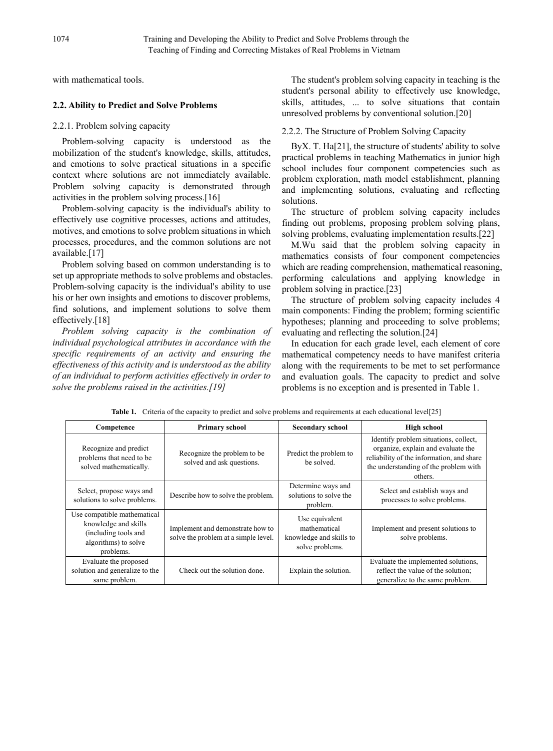with mathematical tools.

#### **2.2. Ability to Predict and Solve Problems**

#### 2.2.1. Problem solving capacity

Problem-solving capacity is understood as the mobilization of the student's knowledge, skills, attitudes, and emotions to solve practical situations in a specific context where solutions are not immediately available. Problem solving capacity is demonstrated through activities in the problem solving process.[16]

Problem-solving capacity is the individual's ability to effectively use cognitive processes, actions and attitudes, motives, and emotions to solve problem situations in which processes, procedures, and the common solutions are not available.[17]

Problem solving based on common understanding is to set up appropriate methods to solve problems and obstacles. Problem-solving capacity is the individual's ability to use his or her own insights and emotions to discover problems, find solutions, and implement solutions to solve them effectively.<sup>[18]</sup>

*Problem solving capacity is the combination of individual psychological attributes in accordance with the specific requirements of an activity and ensuring the effectiveness of this activity and is understood as the ability of an individual to perform activities effectively in order to solve the problems raised in the activities.[19]*

The student's problem solving capacity in teaching is the student's personal ability to effectively use knowledge, skills, attitudes, ... to solve situations that contain unresolved problems by conventional solution.[20]

#### 2.2.2. The Structure of Problem Solving Capacity

ByX. T. Ha[21], the structure of students' ability to solve practical problems in teaching Mathematics in junior high school includes four component competencies such as problem exploration, math model establishment, planning and implementing solutions, evaluating and reflecting solutions.

The structure of problem solving capacity includes finding out problems, proposing problem solving plans, solving problems, evaluating implementation results.[22]

M.Wu said that the problem solving capacity in mathematics consists of four component competencies which are reading comprehension, mathematical reasoning, performing calculations and applying knowledge in problem solving in practice.[23]

The structure of problem solving capacity includes 4 main components: Finding the problem; forming scientific hypotheses; planning and proceeding to solve problems; evaluating and reflecting the solution.[24]

In education for each grade level, each element of core mathematical competency needs to have manifest criteria along with the requirements to be met to set performance and evaluation goals. The capacity to predict and solve problems is no exception and is presented in Table 1.

| Competence                                                                                                       | <b>Primary school</b>                                                    | <b>Secondary school</b>                                                      | <b>High school</b>                                                                                                                                                           |
|------------------------------------------------------------------------------------------------------------------|--------------------------------------------------------------------------|------------------------------------------------------------------------------|------------------------------------------------------------------------------------------------------------------------------------------------------------------------------|
| Recognize and predict<br>problems that need to be<br>solved mathematically.                                      | Recognize the problem to be<br>solved and ask questions.                 | Predict the problem to<br>be solved.                                         | Identify problem situations, collect,<br>organize, explain and evaluate the<br>reliability of the information, and share<br>the understanding of the problem with<br>others. |
| Select, propose ways and<br>solutions to solve problems.                                                         | Describe how to solve the problem.                                       | Determine ways and<br>solutions to solve the<br>problem.                     | Select and establish ways and<br>processes to solve problems.                                                                                                                |
| Use compatible mathematical<br>knowledge and skills<br>(including tools and<br>algorithms) to solve<br>problems. | Implement and demonstrate how to<br>solve the problem at a simple level. | Use equivalent<br>mathematical<br>knowledge and skills to<br>solve problems. | Implement and present solutions to<br>solve problems.                                                                                                                        |
| Evaluate the proposed<br>solution and generalize to the<br>same problem.                                         | Check out the solution done.                                             | Explain the solution.                                                        | Evaluate the implemented solutions,<br>reflect the value of the solution;<br>generalize to the same problem.                                                                 |

**Table 1.** Criteria of the capacity to predict and solve problems and requirements at each educational level[25]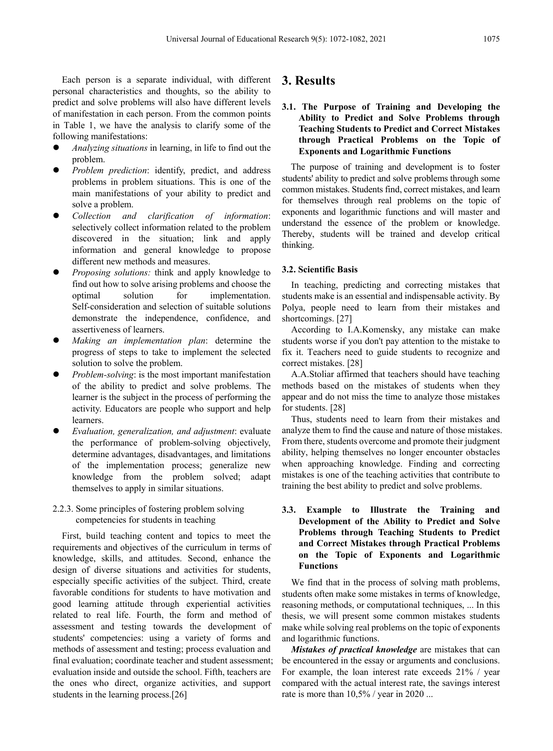Each person is a separate individual, with different personal characteristics and thoughts, so the ability to predict and solve problems will also have different levels of manifestation in each person. From the common points in Table 1, we have the analysis to clarify some of the following manifestations:

- *Analyzing situations* in learning, in life to find out the problem.
- *Problem prediction*: identify, predict, and address problems in problem situations. This is one of the main manifestations of your ability to predict and solve a problem.
- *Collection and clarification of information*: selectively collect information related to the problem discovered in the situation; link and apply information and general knowledge to propose different new methods and measures.
- *Proposing solutions:* think and apply knowledge to find out how to solve arising problems and choose the optimal solution for implementation. Self-consideration and selection of suitable solutions demonstrate the independence, confidence, and assertiveness of learners.
- *Making an implementation plan*: determine the progress of steps to take to implement the selected solution to solve the problem.
- *Problem-solving*: is the most important manifestation of the ability to predict and solve problems. The learner is the subject in the process of performing the activity. Educators are people who support and help learners.
- *Evaluation, generalization, and adjustment*: evaluate the performance of problem-solving objectively, determine advantages, disadvantages, and limitations of the implementation process; generalize new knowledge from the problem solved; adapt themselves to apply in similar situations.
- 2.2.3. Some principles of fostering problem solving competencies for students in teaching

First, build teaching content and topics to meet the requirements and objectives of the curriculum in terms of knowledge, skills, and attitudes. Second, enhance the design of diverse situations and activities for students, especially specific activities of the subject. Third, create favorable conditions for students to have motivation and good learning attitude through experiential activities related to real life. Fourth, the form and method of assessment and testing towards the development of students' competencies: using a variety of forms and methods of assessment and testing; process evaluation and final evaluation; coordinate teacher and student assessment; evaluation inside and outside the school. Fifth, teachers are the ones who direct, organize activities, and support students in the learning process.[26]

# **3. Results**

#### **3.1. The Purpose of Training and Developing the Ability to Predict and Solve Problems through Teaching Students to Predict and Correct Mistakes through Practical Problems on the Topic of Exponents and Logarithmic Functions**

The purpose of training and development is to foster students' ability to predict and solve problems through some common mistakes. Students find, correct mistakes, and learn for themselves through real problems on the topic of exponents and logarithmic functions and will master and understand the essence of the problem or knowledge. Thereby, students will be trained and develop critical thinking.

#### **3.2. Scientific Basis**

In teaching, predicting and correcting mistakes that students make is an essential and indispensable activity. By Polya, people need to learn from their mistakes and shortcomings. [27]

According to I.A.Komensky, any mistake can make students worse if you don't pay attention to the mistake to fix it. Teachers need to guide students to recognize and correct mistakes. [28]

A.A.Stoliar affirmed that teachers should have teaching methods based on the mistakes of students when they appear and do not miss the time to analyze those mistakes for students. [28]

Thus, students need to learn from their mistakes and analyze them to find the cause and nature of those mistakes. From there, students overcome and promote their judgment ability, helping themselves no longer encounter obstacles when approaching knowledge. Finding and correcting mistakes is one of the teaching activities that contribute to training the best ability to predict and solve problems.

#### **3.3. Example to Illustrate the Training and Development of the Ability to Predict and Solve Problems through Teaching Students to Predict and Correct Mistakes through Practical Problems on the Topic of Exponents and Logarithmic Functions**

We find that in the process of solving math problems, students often make some mistakes in terms of knowledge, reasoning methods, or computational techniques, ... In this thesis, we will present some common mistakes students make while solving real problems on the topic of exponents and logarithmic functions.

*Mistakes of practical knowledge* are mistakes that can be encountered in the essay or arguments and conclusions. For example, the loan interest rate exceeds 21% / year compared with the actual interest rate, the savings interest rate is more than 10,5% / year in 2020 ...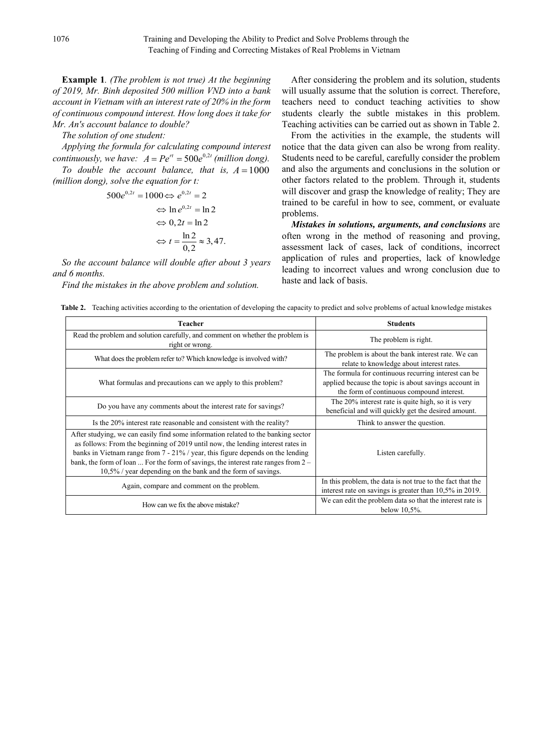**Example 1***. (The problem is not true) At the beginning of 2019, Mr. Binh deposited 500 million VND into a bank account in Vietnam with an interest rate of 20% in the form of continuous compound interest. How long does it take for Mr. An's account balance to double?*

*The solution of one student:*

*Applying the formula for calculating compound interest continuously, we have:*  $A = Pe^{rt} = 500e^{0.2t}$  *(million dong).* 

*To double the account balance, that is,*  $A = 1000$ *(million dong), solve the equation for t:*

$$
500e^{0,2t} = 1000 \Leftrightarrow e^{0,2t} = 2
$$
  

$$
\Leftrightarrow \ln e^{0,2t} = \ln 2
$$
  

$$
\Leftrightarrow 0,2t = \ln 2
$$
  

$$
\Leftrightarrow t = \frac{\ln 2}{0,2} \approx 3,47.
$$

*So the account balance will double after about 3 years and 6 months.*

*Find the mistakes in the above problem and solution.*

After considering the problem and its solution, students will usually assume that the solution is correct. Therefore, teachers need to conduct teaching activities to show students clearly the subtle mistakes in this problem. Teaching activities can be carried out as shown in Table 2.

From the activities in the example, the students will notice that the data given can also be wrong from reality. Students need to be careful, carefully consider the problem and also the arguments and conclusions in the solution or other factors related to the problem. Through it, students will discover and grasp the knowledge of reality; They are trained to be careful in how to see, comment, or evaluate problems.

*Mistakes in solutions, arguments, and conclusions* are often wrong in the method of reasoning and proving, assessment lack of cases, lack of conditions, incorrect application of rules and properties, lack of knowledge leading to incorrect values and wrong conclusion due to haste and lack of basis.

**Table 2.** Teaching activities according to the orientation of developing the capacity to predict and solve problems of actual knowledge mistakes

| Teacher                                                                                                                                                                                                                                                                                                                                                                                                          | <b>Students</b>                                                                                                                                            |
|------------------------------------------------------------------------------------------------------------------------------------------------------------------------------------------------------------------------------------------------------------------------------------------------------------------------------------------------------------------------------------------------------------------|------------------------------------------------------------------------------------------------------------------------------------------------------------|
| Read the problem and solution carefully, and comment on whether the problem is<br>right or wrong.                                                                                                                                                                                                                                                                                                                | The problem is right.                                                                                                                                      |
| What does the problem refer to? Which knowledge is involved with?                                                                                                                                                                                                                                                                                                                                                | The problem is about the bank interest rate. We can<br>relate to knowledge about interest rates.                                                           |
| What formulas and precautions can we apply to this problem?                                                                                                                                                                                                                                                                                                                                                      | The formula for continuous recurring interest can be<br>applied because the topic is about savings account in<br>the form of continuous compound interest. |
| Do you have any comments about the interest rate for savings?                                                                                                                                                                                                                                                                                                                                                    | The 20% interest rate is quite high, so it is very<br>beneficial and will quickly get the desired amount.                                                  |
| Is the 20% interest rate reasonable and consistent with the reality?                                                                                                                                                                                                                                                                                                                                             | Think to answer the question.                                                                                                                              |
| After studying, we can easily find some information related to the banking sector<br>as follows: From the beginning of 2019 until now, the lending interest rates in<br>banks in Vietnam range from $7 - 21\%$ / year, this figure depends on the lending<br>bank, the form of loan  For the form of savings, the interest rate ranges from $2 -$<br>10,5% / year depending on the bank and the form of savings. | Listen carefully.                                                                                                                                          |
| Again, compare and comment on the problem.                                                                                                                                                                                                                                                                                                                                                                       | In this problem, the data is not true to the fact that the<br>interest rate on savings is greater than 10,5% in 2019.                                      |
| How can we fix the above mistake?                                                                                                                                                                                                                                                                                                                                                                                | We can edit the problem data so that the interest rate is<br>below $10.5\%$ .                                                                              |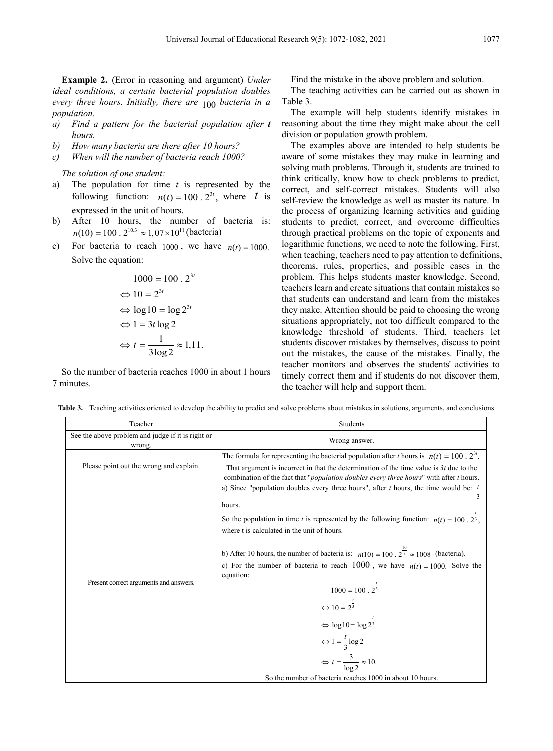**Example 2.** (Error in reasoning and argument) *Under ideal conditions, a certain bacterial population doubles every three hours. Initially, there are* 100 *bacteria in a population.*

- *a) Find a pattern for the bacterial population after t hours.*
- *b) How many bacteria are there after 10 hours?*
- *c) When will the number of bacteria reach 1000?*

*The solution of one student:*

- a) The population for time *t* is represented by the following function:  $n(t) = 100 \cdot 2^{3t}$ , where *t* is expressed in the unit of hours.
- b) After 10 hours, the number of bacteria is:  $n(10) = 100 \cdot 2^{10.3} \approx 1.07 \times 10^{11}$  (bacteria)
- c) For bacteria to reach  $1000$ , we have  $n(t) = 1000$ . Solve the equation:

$$
1000 = 100 \cdot 2^{3t}
$$
  
\n
$$
\Leftrightarrow 10 = 2^{3t}
$$
  
\n
$$
\Leftrightarrow \log 10 = \log 2^{3t}
$$
  
\n
$$
\Leftrightarrow 1 = 3t \log 2
$$
  
\n
$$
\Leftrightarrow t = \frac{1}{3 \log 2} \approx 1,11.
$$

So the number of bacteria reaches 1000 in about 1 hours 7 minutes.

Find the mistake in the above problem and solution. The teaching activities can be carried out as shown in Table 3.

The example will help students identify mistakes in reasoning about the time they might make about the cell division or population growth problem.

The examples above are intended to help students be aware of some mistakes they may make in learning and solving math problems. Through it, students are trained to think critically, know how to check problems to predict, correct, and self-correct mistakes. Students will also self-review the knowledge as well as master its nature. In the process of organizing learning activities and guiding students to predict, correct, and overcome difficulties through practical problems on the topic of exponents and logarithmic functions, we need to note the following. First, when teaching, teachers need to pay attention to definitions, theorems, rules, properties, and possible cases in the problem. This helps students master knowledge. Second, teachers learn and create situations that contain mistakes so that students can understand and learn from the mistakes they make. Attention should be paid to choosing the wrong situations appropriately, not too difficult compared to the knowledge threshold of students. Third, teachers let students discover mistakes by themselves, discuss to point out the mistakes, the cause of the mistakes. Finally, the teacher monitors and observes the students' activities to timely correct them and if students do not discover them, the teacher will help and support them.

**Table 3.** Teaching activities oriented to develop the ability to predict and solve problems about mistakes in solutions, arguments, and conclusions

| Teacher                                                     | Students                                                                                                                                                                                             |
|-------------------------------------------------------------|------------------------------------------------------------------------------------------------------------------------------------------------------------------------------------------------------|
| See the above problem and judge if it is right or<br>wrong. | Wrong answer.                                                                                                                                                                                        |
|                                                             | The formula for representing the bacterial population after t hours is $n(t) = 100 \cdot 2^{3t}$ .                                                                                                   |
| Please point out the wrong and explain.                     | That argument is incorrect in that the determination of the time value is $3t$ due to the<br>combination of the fact that " <i>population doubles every three hours</i> " with after <i>t</i> hours. |
|                                                             | a) Since "population doubles every three hours", after t hours, the time would be: $\frac{t}{t}$                                                                                                     |
|                                                             | hours.                                                                                                                                                                                               |
|                                                             | So the population in time t is represented by the following function: $n(t) = 100 \cdot 2^{\frac{1}{3}}$ ,<br>where t is calculated in the unit of hours.                                            |
|                                                             |                                                                                                                                                                                                      |
|                                                             | b) After 10 hours, the number of bacteria is: $n(10) = 100 \cdot 2^{\frac{10}{3}} \approx 1008$ (bacteria).                                                                                          |
|                                                             | c) For the number of bacteria to reach 1000, we have $n(t) = 1000$ . Solve the<br>equation:                                                                                                          |
| Present correct arguments and answers.                      | $1000 = 100 \cdot 2^{\frac{t}{3}}$                                                                                                                                                                   |
|                                                             | $\Leftrightarrow 10 = 2^{\frac{t}{3}}$                                                                                                                                                               |
|                                                             | $\Leftrightarrow \log 10 = \log 2^{\frac{t}{3}}$                                                                                                                                                     |
|                                                             | $\Leftrightarrow$ 1 = $\frac{t}{3}$ log 2                                                                                                                                                            |
|                                                             | $\Leftrightarrow t = \frac{3}{\log 2} \approx 10.$                                                                                                                                                   |
|                                                             | So the number of bacteria reaches 1000 in about 10 hours.                                                                                                                                            |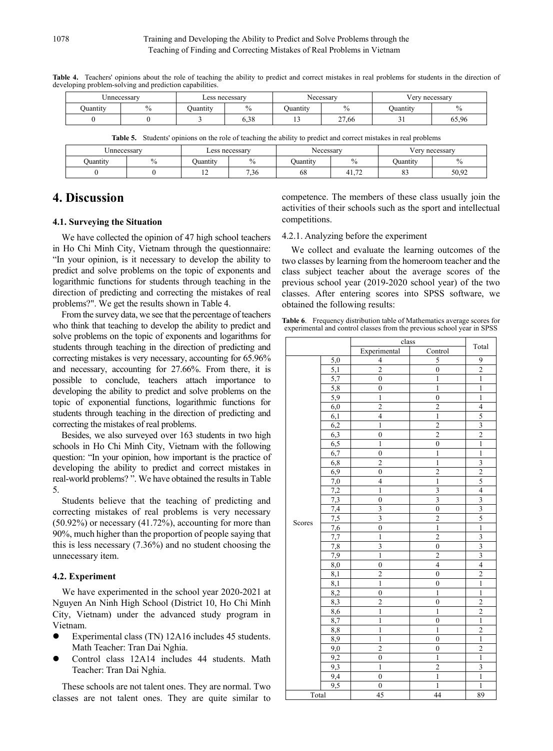|          | Jnnecessary |          | Less necessary   |          | Necessary | √ery necessary |       |  |
|----------|-------------|----------|------------------|----------|-----------|----------------|-------|--|
| Juantity |             | Juantity | 0 <sub>4</sub>   | Juantity |           | Juantity       | 70    |  |
|          |             |          | $\Omega$<br>0.20 |          | 27,66     | - -            | 65,96 |  |

Table 4. Teachers' opinions about the role of teaching the ability to predict and correct mistakes in real problems for students in the direction of developing problem-solving and prediction capabilities.

**Table 5.** Students' opinions on the role of teaching the ability to predict and correct mistakes in real problems

| Jnnecessarv |  | Less necessary |                | Necessary |                     | very necessary |       |
|-------------|--|----------------|----------------|-----------|---------------------|----------------|-------|
| Juantity    |  | Juantity       | 0/             | Juantity  |                     | Juantity       | $\%$  |
|             |  | $\overline{1}$ | $\sim$<br>0.36 | 68        | $\sim$<br>41<br>. . | o^<br>63       | 50.92 |

# **4. Discussion**

#### **4.1. Surveying the Situation**

We have collected the opinion of 47 high school teachers in Ho Chi Minh City, Vietnam through the questionnaire: "In your opinion, is it necessary to develop the ability to predict and solve problems on the topic of exponents and logarithmic functions for students through teaching in the direction of predicting and correcting the mistakes of real problems?". We get the results shown in Table 4.

From the survey data, we see that the percentage of teachers who think that teaching to develop the ability to predict and solve problems on the topic of exponents and logarithms for students through teaching in the direction of predicting and correcting mistakes is very necessary, accounting for 65.96% and necessary, accounting for 27.66%. From there, it is possible to conclude, teachers attach importance to developing the ability to predict and solve problems on the topic of exponential functions, logarithmic functions for students through teaching in the direction of predicting and correcting the mistakes of real problems.

Besides, we also surveyed over 163 students in two high schools in Ho Chi Minh City, Vietnam with the following question: "In your opinion, how important is the practice of developing the ability to predict and correct mistakes in real-world problems? ". We have obtained the results in Table 5.

Students believe that the teaching of predicting and correcting mistakes of real problems is very necessary (50.92%) or necessary (41.72%), accounting for more than 90%, much higher than the proportion of people saying that this is less necessary (7.36%) and no student choosing the unnecessary item.

#### **4.2. Experiment**

We have experimented in the school year 2020-2021 at Nguyen An Ninh High School (District 10, Ho Chi Minh City, Vietnam) under the advanced study program in Vietnam.

- Experimental class (TN) 12A16 includes 45 students. Math Teacher: Tran Dai Nghia.
- Control class 12A14 includes 44 students. Math Teacher: Tran Dai Nghia.

These schools are not talent ones. They are normal. Two classes are not talent ones. They are quite similar to

competence. The members of these class usually join the activities of their schools such as the sport and intellectual competitions.

#### 4.2.1. Analyzing before the experiment

We collect and evaluate the learning outcomes of the two classes by learning from the homeroom teacher and the class subject teacher about the average scores of the previous school year (2019-2020 school year) of the two classes. After entering scores into SPSS software, we obtained the following results:

**Table 6**. Frequency distribution table of Mathematics average scores for experimental and control classes from the previous school year in SPSS

|        |                  | class                     |                         | Total                    |
|--------|------------------|---------------------------|-------------------------|--------------------------|
|        |                  | Experimental              | Control                 |                          |
|        | 5,0              | $\overline{\mathbf{4}}$   | 5                       | 9                        |
|        | $\overline{5,1}$ | $\overline{2}$            | $\boldsymbol{0}$        | $\overline{c}$           |
|        | $\overline{5,7}$ | $\boldsymbol{0}$          | $\mathbf{1}$            | $\mathbf{1}$             |
|        | 5,8              | $\overline{0}$            | $\mathbf{1}$            | $\mathbf{1}$             |
|        | 5,9              | $\mathbf{1}$              | $\boldsymbol{0}$        | $\mathbf{1}$             |
|        | 6,0              | $\overline{2}$            | $\overline{2}$          | $\overline{\mathcal{L}}$ |
|        | 6,1              | $\overline{4}$            | $\overline{1}$          | 5                        |
|        | 6,2              | $\mathbf{1}$              | $\overline{\mathbf{c}}$ | $\overline{\mathbf{3}}$  |
|        | 6,3              | $\mathbf{0}$              | $\overline{2}$          | $\overline{2}$           |
|        | 6,5              | $\mathbf{1}$              | $\overline{0}$          | $\overline{1}$           |
|        | 6,7              | $\overline{0}$            | $\mathbf{1}$            | $\mathbf{1}$             |
|        | 6,8              | $\overline{2}$            | $\mathbf{1}$            | $\overline{\mathbf{3}}$  |
|        | 6,9              | $\overline{0}$            | $\overline{2}$          | $\overline{2}$           |
|        | 7,0              | 4                         | $\mathbf{1}$            | 5                        |
|        | 7,2              | $\mathbf{1}$              | $\overline{\mathbf{3}}$ | $\overline{\mathbf{4}}$  |
|        | 7,3              | $\overline{0}$            | $\overline{\mathbf{3}}$ | $\overline{\mathbf{3}}$  |
|        | 7,4              | 3                         | $\boldsymbol{0}$        | $\overline{\mathbf{3}}$  |
|        | 7,5              | $\overline{\overline{3}}$ | $\overline{c}$          | 5                        |
| Scores | 7,6              | $\overline{0}$            | $\overline{1}$          | $\overline{1}$           |
|        | 7,7              | $\mathbf{1}$              | $\overline{2}$          | $rac{3}{3}$              |
|        | 7,8              | $\overline{\mathbf{3}}$   | $\boldsymbol{0}$        |                          |
|        | 7,9              | $\overline{1}$            | $\overline{2}$          |                          |
|        | $\overline{8,0}$ | $\overline{0}$            | $\overline{4}$          | $\overline{\mathcal{L}}$ |
|        | $\overline{8,1}$ | $\overline{c}$            | $\overline{0}$          | $\overline{c}$           |
|        | $\overline{8,1}$ | $\mathbf{1}$              | $\boldsymbol{0}$        | $\mathbf{1}$             |
|        | 8,2              | $\overline{0}$            | $\mathbf{1}$            | $\mathbf{1}$             |
|        | 8,3              | $\overline{2}$            | $\boldsymbol{0}$        | $\overline{c}$           |
|        | 8,6              | $\mathbf{1}$              | $\mathbf{1}$            | $\overline{2}$           |
|        | 8,7              | $\mathbf{1}$              | $\boldsymbol{0}$        | $\mathbf{1}$             |
|        | 8,8              | $\mathbf{1}$              | $\mathbf{1}$            | $\overline{2}$           |
|        | 8,9              | $\mathbf{1}$              | $\mathbf{0}$            | $\mathbf{1}$             |
|        | 9,0              | $\overline{c}$            | $\mathbf{0}$            | $\overline{2}$           |
|        | 9,2              | $\mathbf{0}$              | $\mathbf{1}$            | $\overline{1}$           |
|        | 9,3              | $\mathbf{1}$              | $\overline{2}$          | $\overline{\mathbf{3}}$  |
|        | 9,4              | $\mathbf{0}$              | $\mathbf{1}$            | $\mathbf{1}$             |
|        | 9,5              | $\boldsymbol{0}$          | $\mathbf{1}$            | $\mathbf{1}$             |
| Total  |                  | 45                        | 44                      | 89                       |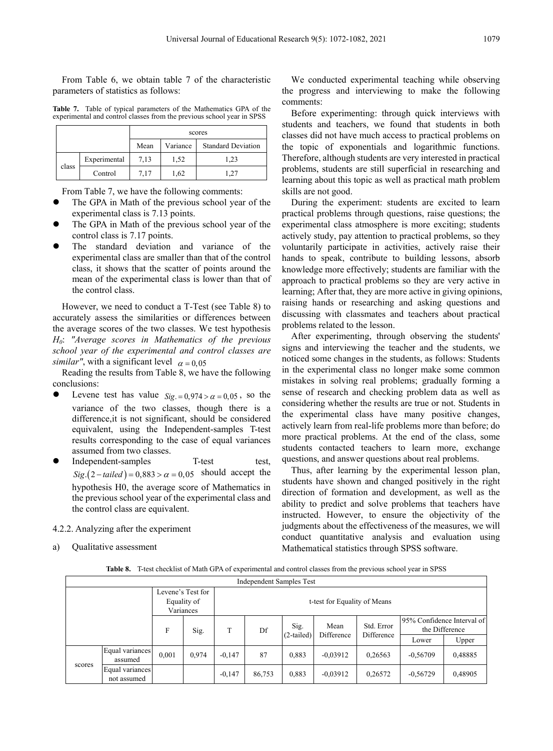From Table 6, we obtain table 7 of the characteristic parameters of statistics as follows:

**Table 7.** Table of typical parameters of the Mathematics GPA of the experimental and control classes from the previous school year in SPSS

|       |              | scores |          |                           |  |  |  |
|-------|--------------|--------|----------|---------------------------|--|--|--|
|       |              | Mean   | Variance | <b>Standard Deviation</b> |  |  |  |
|       | Experimental | 7,13   | 1,52     | 1.23                      |  |  |  |
| class | Control      | 7.17   | 1,62     |                           |  |  |  |

From Table 7, we have the following comments:

- The GPA in Math of the previous school year of the experimental class is 7.13 points.
- The GPA in Math of the previous school year of the control class is 7.17 points.
- The standard deviation and variance of the experimental class are smaller than that of the control class, it shows that the scatter of points around the mean of the experimental class is lower than that of the control class.

However, we need to conduct a T-Test (see Table 8) to accurately assess the similarities or differences between the average scores of the two classes. We test hypothesis *H0*: *"Average scores in Mathematics of the previous school year of the experimental and control classes are similar"*, with a significant level  $\alpha = 0.05$ 

Reading the results from Table 8, we have the following conclusions:

- Levene test has value  $Sig = 0.974 > \alpha = 0.05$ , so the variance of the two classes, though there is a difference,it is not significant, should be considered equivalent, using the Independent-samples T-test results corresponding to the case of equal variances assumed from two classes.
- Independent-samples T-test test,  $Sig(2-tailed) = 0,883 > \alpha = 0,05$  should accept the hypothesis H0, the average score of Mathematics in the previous school year of the experimental class and the control class are equivalent.
- 4.2.2. Analyzing after the experiment
- a) Qualitative assessment

We conducted experimental teaching while observing the progress and interviewing to make the following comments:

Before experimenting: through quick interviews with students and teachers, we found that students in both classes did not have much access to practical problems on the topic of exponentials and logarithmic functions. Therefore, although students are very interested in practical problems, students are still superficial in researching and learning about this topic as well as practical math problem skills are not good.

During the experiment: students are excited to learn practical problems through questions, raise questions; the experimental class atmosphere is more exciting; students actively study, pay attention to practical problems, so they voluntarily participate in activities, actively raise their hands to speak, contribute to building lessons, absorb knowledge more effectively; students are familiar with the approach to practical problems so they are very active in learning; After that, they are more active in giving opinions, raising hands or researching and asking questions and discussing with classmates and teachers about practical problems related to the lesson.

After experimenting, through observing the students' signs and interviewing the teacher and the students, we noticed some changes in the students, as follows: Students in the experimental class no longer make some common mistakes in solving real problems; gradually forming a sense of research and checking problem data as well as considering whether the results are true or not. Students in the experimental class have many positive changes, actively learn from real-life problems more than before; do more practical problems. At the end of the class, some students contacted teachers to learn more, exchange questions, and answer questions about real problems.

Thus, after learning by the experimental lesson plan, students have shown and changed positively in the right direction of formation and development, as well as the ability to predict and solve problems that teachers have instructed. However, to ensure the objectivity of the judgments about the effectiveness of the measures, we will conduct quantitative analysis and evaluation using Mathematical statistics through SPSS software.

**Table 8.** T-test checklist of Math GPA of experimental and control classes from the previous school year in SPSS

|        |                                |                                               |       |                              | Independent Samples Test |                      |                    |                          |            |                                                       |
|--------|--------------------------------|-----------------------------------------------|-------|------------------------------|--------------------------|----------------------|--------------------|--------------------------|------------|-------------------------------------------------------|
|        |                                | Levene's Test for<br>Equality of<br>Variances |       | t-test for Equality of Means |                          |                      |                    |                          |            |                                                       |
|        |                                | F                                             | Sig.  |                              | Df                       | Sig.<br>$(2-tailed)$ | Mean<br>Difference | Std. Error<br>Difference | Lower      | 95% Confidence Interval of<br>the Difference<br>Upper |
|        | Equal variances<br>assumed     | 0.001                                         | 0,974 | $-0.147$                     | 87                       | 0.883                | $-0.03912$         | 0,26563                  | $-0.56709$ | 0,48885                                               |
| scores | Equal variances<br>not assumed |                                               |       | $-0.147$                     | 86,753                   | 0.883                | $-0.03912$         | 0,26572                  | $-0,56729$ | 0,48905                                               |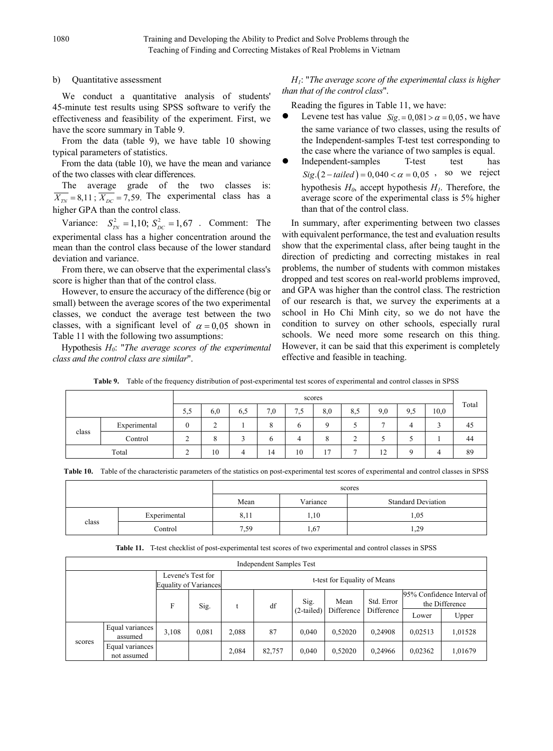#### b) Quantitative assessment

We conduct a quantitative analysis of students' 45-minute test results using SPSS software to verify the effectiveness and feasibility of the experiment. First, we have the score summary in Table 9.

From the data (table 9), we have table 10 showing typical parameters of statistics.

From the data (table 10), we have the mean and variance of the two classes with clear differences.

The average grade of the two classes is:  $\overline{X_{TN}}$  = 8,11;  $\overline{X_{DC}}$  = 7,59. The experimental class has a higher GPA than the control class.

Variance:  $S_{rw}^2 = 1,10; S_{DC}^2 = 1,67$ . Comment: The experimental class has a higher concentration around the mean than the control class because of the lower standard deviation and variance.

From there, we can observe that the experimental class's score is higher than that of the control class.

However, to ensure the accuracy of the difference (big or small) between the average scores of the two experimental classes, we conduct the average test between the two classes, with a significant level of  $\alpha = 0.05$  shown in Table 11 with the following two assumptions:

Hypothesis *H0*: "*The average scores of the experimental class and the control class are similar*".

*H1*: "*The average score of the experimental class is higher than that of the control class*".

Reading the figures in Table 11, we have:

- Levene test has value  $Sig = 0.081 > \alpha = 0.05$ , we have the same variance of two classes, using the results of the Independent-samples T-test test corresponding to the case where the variance of two samples is equal.
- Independent-samples T-test test has  $Sig(2-tailed) = 0,040 < \alpha = 0,05$ , so we reject hypothesis  $H_0$ , accept hypothesis  $H_1$ . Therefore, the average score of the experimental class is 5% higher than that of the control class.

In summary, after experimenting between two classes with equivalent performance, the test and evaluation results show that the experimental class, after being taught in the direction of predicting and correcting mistakes in real problems, the number of students with common mistakes dropped and test scores on real-world problems improved, and GPA was higher than the control class. The restriction of our research is that, we survey the experiments at a school in Ho Chi Minh city, so we do not have the condition to survey on other schools, especially rural schools. We need more some research on this thing. However, it can be said that this experiment is completely effective and feasible in teaching.

|       |              |        | scores |     |     |                       |     |     |     |     |      |       |
|-------|--------------|--------|--------|-----|-----|-----------------------|-----|-----|-----|-----|------|-------|
|       |              | 5,5    | 6,0    | 6,5 | 7,0 | $\overline{ }$<br>1.5 | 8,0 | 8,5 | 9,0 | 9,5 | 10,0 | Total |
| class | Experimental |        | ⌒<br>∸ |     | 8   | h                     |     |     | -   | 4   |      | 45    |
|       | Control      | ◠<br>∸ | 8      |     | 6   |                       | 8   | ∼   |     |     |      | 44    |
|       | Total        | $\sim$ | 10     | 4   | 14  | 10                    | 17  |     | 12  | Q   | 4    | 89    |

**Table 9.** Table of the frequency distribution of post-experimental test scores of experimental and control classes in SPSS

| Table 10. Table of the characteristic parameters of the statistics on post-experimental test scores of experimental and control classes in SPSS |  |  |
|-------------------------------------------------------------------------------------------------------------------------------------------------|--|--|
|                                                                                                                                                 |  |  |

|       |              |      | scores   |                           |  |  |  |  |
|-------|--------------|------|----------|---------------------------|--|--|--|--|
|       |              | Mean | Variance | <b>Standard Deviation</b> |  |  |  |  |
| class | Experimental | 8.11 | 1,10     | 1,05                      |  |  |  |  |
|       | Control      | 7,59 | 1,67     | 1,29                      |  |  |  |  |

**Table 11.** T-test checklist of post-experimental test scores of two experimental and control classes in SPSS

|        | Independent Samples Test       |       |                                                   |       |                              |              |            |            |         |                                              |
|--------|--------------------------------|-------|---------------------------------------------------|-------|------------------------------|--------------|------------|------------|---------|----------------------------------------------|
|        |                                |       | Levene's Test for<br><b>Equality of Variances</b> |       | t-test for Equality of Means |              |            |            |         |                                              |
|        |                                | F     | Sig.                                              |       | df                           | Sig.         | Mean       | Std. Error |         | 95% Confidence Interval of<br>the Difference |
|        |                                |       |                                                   |       |                              | $(2-tailed)$ | Difference | Difference | Lower   | Upper                                        |
| scores | Equal variances<br>assumed     | 3.108 | 0.081                                             | 2.088 | 87                           | 0.040        | 0.52020    | 0.24908    | 0.02513 | 1,01528                                      |
|        | Equal variances<br>not assumed |       |                                                   | 2,084 | 82,757                       | 0.040        | 0,52020    | 0,24966    | 0,02362 | 1,01679                                      |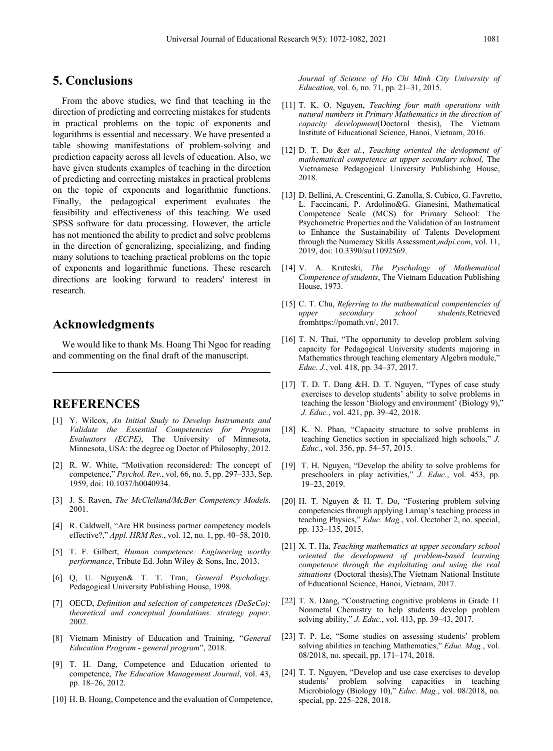## **5. Conclusions**

From the above studies, we find that teaching in the direction of predicting and correcting mistakes for students in practical problems on the topic of exponents and logarithms is essential and necessary. We have presented a table showing manifestations of problem-solving and prediction capacity across all levels of education. Also, we have given students examples of teaching in the direction of predicting and correcting mistakes in practical problems on the topic of exponents and logarithmic functions. Finally, the pedagogical experiment evaluates the feasibility and effectiveness of this teaching. We used SPSS software for data processing. However, the article has not mentioned the ability to predict and solve problems in the direction of generalizing, specializing, and finding many solutions to teaching practical problems on the topic of exponents and logarithmic functions. These research directions are looking forward to readers' interest in research.

# **Acknowledgments**

We would like to thank Ms. Hoang Thi Ngoc for reading and commenting on the final draft of the manuscript.

## **REFERENCES**

- [1] Y. Wilcox, *An Initial Study to Develop Instruments and Validate the Essential Competencies for Program Evaluators (ECPE)*, The University of Minnesota, Minnesota, USA: the degree og Doctor of Philosophy, 2012.
- [2] R. W. White, "Motivation reconsidered: The concept of competence," *Psychol. Rev.*, vol. 66, no. 5, pp. 297–333, Sep. 1959, doi: 10.1037/h0040934.
- [3] J. S. Raven, *The McClelland/McBer Competency Models*. 2001.
- [4] R. Caldwell, "Are HR business partner competency models effective?," *Appl. HRM Res.*, vol. 12, no. 1, pp. 40–58, 2010.
- [5] T. F. Gilbert, *Human competence: Engineering worthy performance*, Tribute Ed. John Wiley & Sons, Inc, 2013.
- [6] Q, U. Nguyen& T. T. Tran, *General Psychology*. Pedagogical University Publishing House, 1998.
- [7] OECD, *Definition and selection of competences (DeSeCo): theoretical and conceptual foundations: strategy paper*. 2002.
- [8] Vietnam Ministry of Education and Training, "*General Education Program - general program*", 2018.
- [9] T. H. Dang, Competence and Education oriented to competence, *The Education Management Journal*, vol. 43, pp. 18–26, 2012.
- [10] H. B. Hoang, Competence and the evaluation of Competence,

*Journal of Science of Ho Chi Minh City University of Education*, vol. 6, no. 71, pp. 21–31, 2015.

- [11] T. K. O. Nguyen, *Teaching four math operations with natural numbers in Primary Mathematics in the direction of capacity development*(Doctoral thesis), The Vietnam Institute of Educational Science, Hanoi, Vietnam, 2016.
- [12] D. T. Do &*et al.*, *Teaching oriented the devlopment of mathematical competence at upper secondary school,* The Vietnamese Pedagogical University Publishinhg House, 2018.
- [13] D. Bellini, A. Crescentini, G. Zanolla, S. Cubico, G. Favretto, L. Faccincani, P. Ardolino&G. Gianesini, Mathematical Competence Scale (MCS) for Primary School: The Psychometric Properties and the Validation of an Instrument to Enhance the Sustainability of Talents Development through the Numeracy Skills Assessment,*mdpi.com*, vol. 11, 2019, doi: 10.3390/su11092569.
- [14] V. A. Kruteski, *The Pyschology of Mathematical Competence of students*, The Vietnam Education Publishing House, 1973.
- [15] C. T. Chu, *Referring to the mathematical compentencies of upper secondary school students,*Retrieved fromhttps://pomath.vn/, 2017.
- [16] T. N. Thai, "The opportunity to develop problem solving capacity for Pedagogical University students majoring in Mathematics through teaching elementary Algebra module," *Educ. J.*, vol. 418, pp. 34–37, 2017.
- [17] T. D. T. Dang &H. D. T. Nguyen, "Types of case study exercises to develop students' ability to solve problems in teaching the lesson 'Biology and environment' (Biology 9)," *J. Educ.*, vol. 421, pp. 39–42, 2018.
- [18] K. N. Phan, "Capacity structure to solve problems in teaching Genetics section in specialized high schools," *J. Educ.*, vol. 356, pp. 54–57, 2015.
- [19] T. H. Nguyen, "Develop the ability to solve problems for preschoolers in play activities," *J. Educ.*, vol. 453, pp. 19–23, 2019.
- [20] H. T. Nguyen & H. T. Do, "Fostering problem solving competencies through applying Lamap's teaching process in teaching Physics," *Educ. Mag.*, vol. Occtober 2, no. special, pp. 133–135, 2015.
- [21] X. T. Ha, *Teaching mathematics at upper secondary school oriented the development of problem-based learning competence through the exploitating and using the real situations* (Doctoral thesis),The Vietnam National Institute of Educational Science, Hanoi, Vietnam, 2017.
- [22] T. X. Dang, "Constructing cognitive problems in Grade 11 Nonmetal Chemistry to help students develop problem solving ability," *J. Educ.*, vol. 413, pp. 39–43, 2017.
- [23] T. P. Le, "Some studies on assessing students' problem solving abilities in teaching Mathematics," *Educ. Mag.*, vol. 08/2018, no. specail, pp. 171–174, 2018.
- [24] T. T. Nguyen, "Develop and use case exercises to develop students' problem solving capacities in teaching Microbiology (Biology 10)," *Educ. Mag.*, vol. 08/2018, no. special, pp. 225–228, 2018.